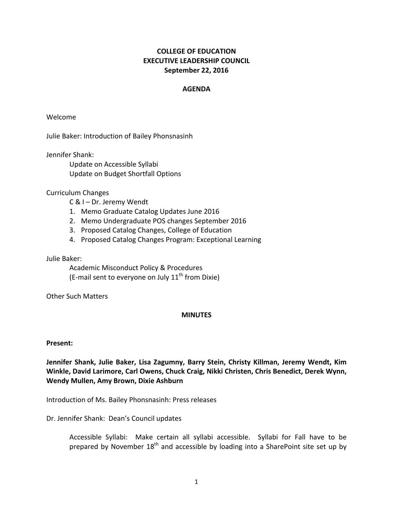## **COLLEGE OF EDUCATION EXECUTIVE LEADERSHIP COUNCIL September 22, 2016**

## **AGENDA**

Welcome

Julie Baker: Introduction of Bailey Phonsnasinh

Jennifer Shank:

Update on Accessible Syllabi Update on Budget Shortfall Options

Curriculum Changes 

C & I - Dr. Jeremy Wendt

- 1. Memo Graduate Catalog Updates June 2016
- 2. Memo Undergraduate POS changes September 2016
- 3. Proposed Catalog Changes, College of Education
- 4. Proposed Catalog Changes Program: Exceptional Learning

Julie Baker:

Academic Misconduct Policy & Procedures (E-mail sent to everyone on July  $11<sup>th</sup>$  from Dixie)

**Other Such Matters** 

## **MINUTES**

## **Present:**

Jennifer Shank, Julie Baker, Lisa Zagumny, Barry Stein, Christy Killman, Jeremy Wendt, Kim Winkle, David Larimore, Carl Owens, Chuck Craig, Nikki Christen, Chris Benedict, Derek Wynn, Wendy Mullen, Amy Brown, Dixie Ashburn

Introduction of Ms. Bailey Phonsnasinh: Press releases

Dr. Jennifer Shank: Dean's Council updates

Accessible Syllabi: Make certain all syllabi accessible. Syllabi for Fall have to be prepared by November  $18<sup>th</sup>$  and accessible by loading into a SharePoint site set up by